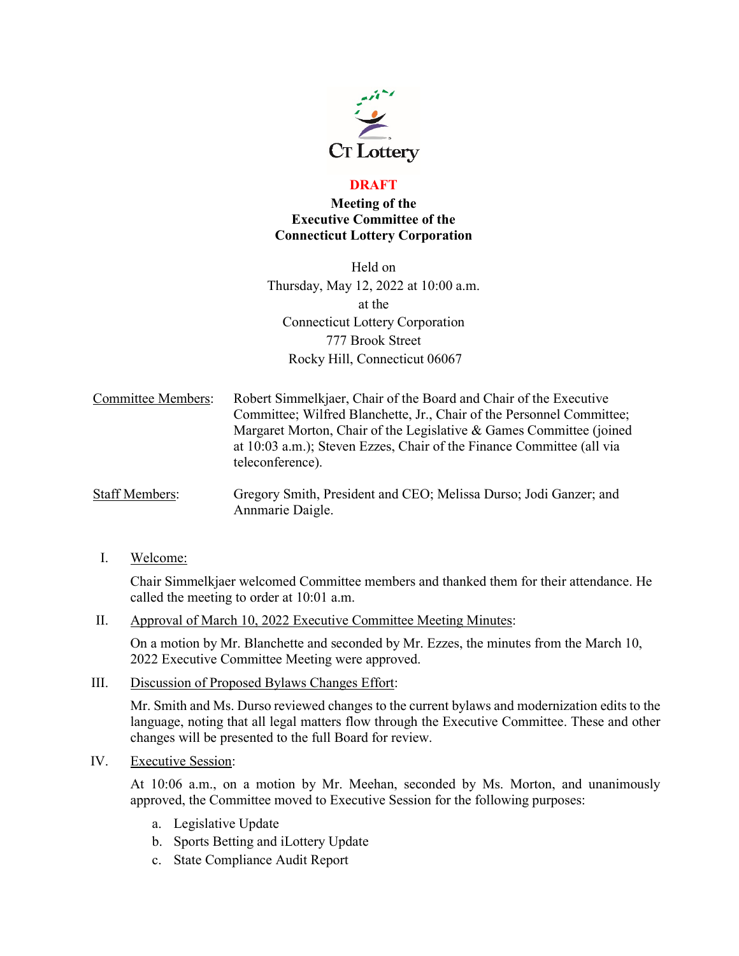

## **DRAFT**

## **Meeting of the Executive Committee of the Connecticut Lottery Corporation**

Held on Thursday, May 12, 2022 at 10:00 a.m. at the Connecticut Lottery Corporation 777 Brook Street Rocky Hill, Connecticut 06067

- Committee Members: Robert Simmelkjaer, Chair of the Board and Chair of the Executive Committee; Wilfred Blanchette, Jr., Chair of the Personnel Committee; Margaret Morton, Chair of the Legislative & Games Committee (joined at 10:03 a.m.); Steven Ezzes, Chair of the Finance Committee (all via teleconference).
- Staff Members: Gregory Smith, President and CEO; Melissa Durso; Jodi Ganzer; and Annmarie Daigle.
	- I. Welcome:

Chair Simmelkjaer welcomed Committee members and thanked them for their attendance. He called the meeting to order at 10:01 a.m.

II. Approval of March 10, 2022 Executive Committee Meeting Minutes:

On a motion by Mr. Blanchette and seconded by Mr. Ezzes, the minutes from the March 10, 2022 Executive Committee Meeting were approved.

III. Discussion of Proposed Bylaws Changes Effort:

Mr. Smith and Ms. Durso reviewed changes to the current bylaws and modernization edits to the language, noting that all legal matters flow through the Executive Committee. These and other changes will be presented to the full Board for review.

IV. Executive Session:

At 10:06 a.m., on a motion by Mr. Meehan, seconded by Ms. Morton, and unanimously approved, the Committee moved to Executive Session for the following purposes:

- a. Legislative Update
- b. Sports Betting and iLottery Update
- c. State Compliance Audit Report